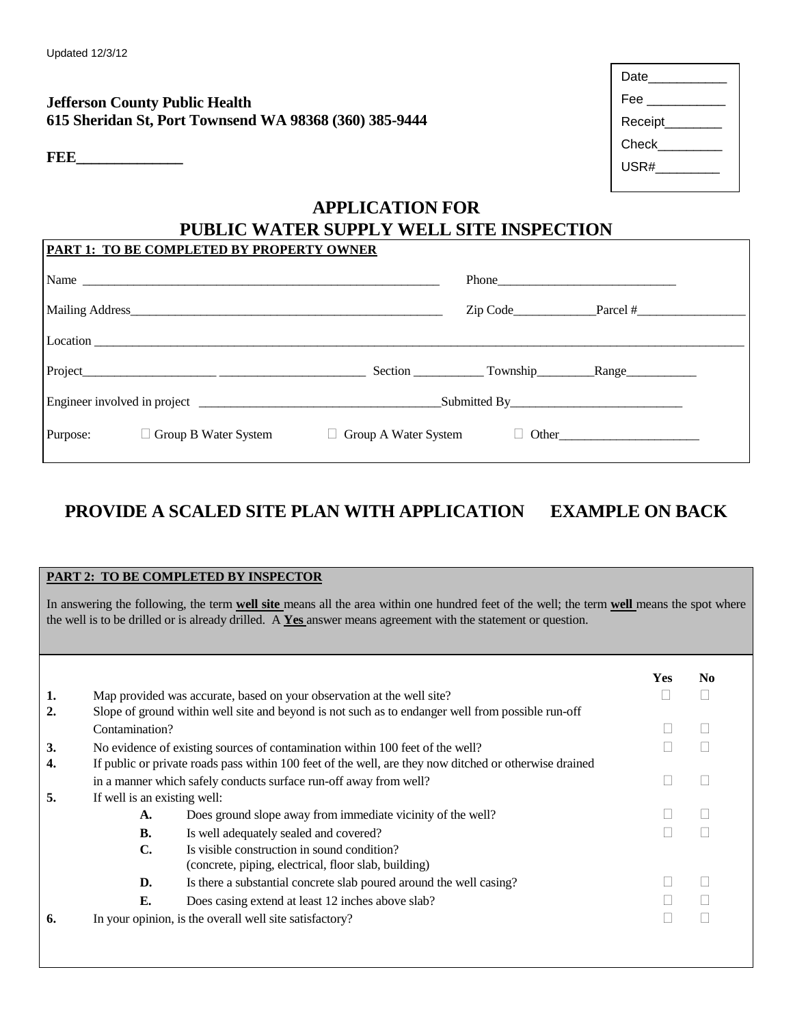### **Jefferson County Public Health 615 Sheridan St, Port Townsend WA 98368 (360) 385-9444**

**FEE** 

| Date     |  |
|----------|--|
| Fee      |  |
| Receipt_ |  |
| Check    |  |
| USR#     |  |
|          |  |

# **APPLICATION FOR PUBLIC WATER SUPPLY WELL SITE INSPECTION**

|  | PART 1: TO BE COMPLETED BY PROPERTY OWNER |                             |                          |  |
|--|-------------------------------------------|-----------------------------|--------------------------|--|
|  | Name $\frac{1}{2}$                        |                             | Phone                    |  |
|  |                                           |                             | $\chi$ Zip Code Parcel # |  |
|  |                                           |                             |                          |  |
|  |                                           |                             |                          |  |
|  |                                           |                             |                          |  |
|  | Purpose: □ Group B Water System           | $\Box$ Group A Water System |                          |  |

# **PROVIDE A SCALED SITE PLAN WITH APPLICATION EXAMPLE ON BACK**

# **PART 2: TO BE COMPLETED BY INSPECTOR** In answering the following, the term **well site** means all the area within one hundred feet of the well; the term **well** means the spot where the well is to be drilled or is already drilled. A **Yes** answer means agreement with the statement or question. **Yes No 1.** Map provided was accurate, based on your observation at the well site? **2.** Slope of ground within well site and beyond is not such as to endanger well from possible run-off Contamination? **3.** No evidence of existing sources of contamination within 100 feet of the well? **4.** If public or private roads pass within 100 feet of the well, are they now ditched or otherwise drained in a manner which safely conducts surface run-off away from well? **5.** If well is an existing well: **A.** Does ground slope away from immediate vicinity of the well? **B.** Is well adequately sealed and covered? **C.** Is visible construction in sound condition? (concrete, piping, electrical, floor slab, building) **D.** Is there a substantial concrete slab poured around the well casing?  $\square$ **E.** Does casing extend at least 12 inches above slab? **6.** In your opinion, is the overall well site satisfactory?